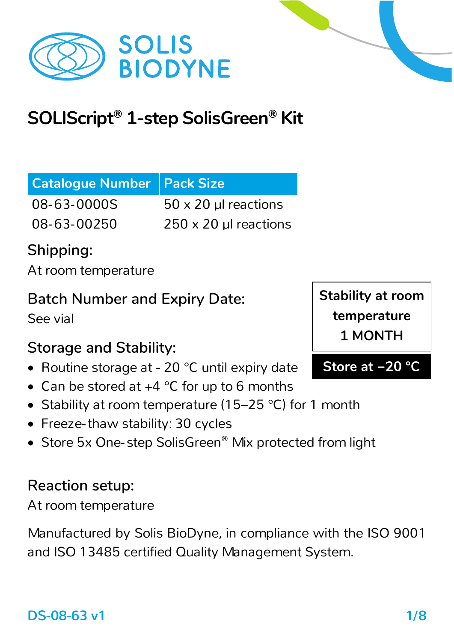

# **SOLIScript® 1-step SolisGreen® Kit**

| <b>Catalogue Number Pack Size</b> |                              |
|-----------------------------------|------------------------------|
| 08-63-0000S                       | 50 x 20 µl reactions         |
| 08-63-00250                       | $\vert$ 250 x 20 µ reactions |

## **Shipping:**

At room temperature

#### **Batch Number and Expiry Date:**

See vial

## **Storage and Stability:**

- Routine storage at − 20 °C until expiry date
- Can be stored at  $+4$  °C for up to 6 months
- Stability at room temperature (15–25 °C) for 1 month
- Freeze-thaw stability: 30 cycles
- Store 5x One-step SolisGreen<sup>®</sup> Mix protected from light

### **Reaction setup:**

At room temperature

Manufactured by Solis BioDyne, in compliance with the ISO 9001 and ISO 13485 certified Quality Management System.

**Stability at room temperature 1 MONTH**

**Store at −20 °C**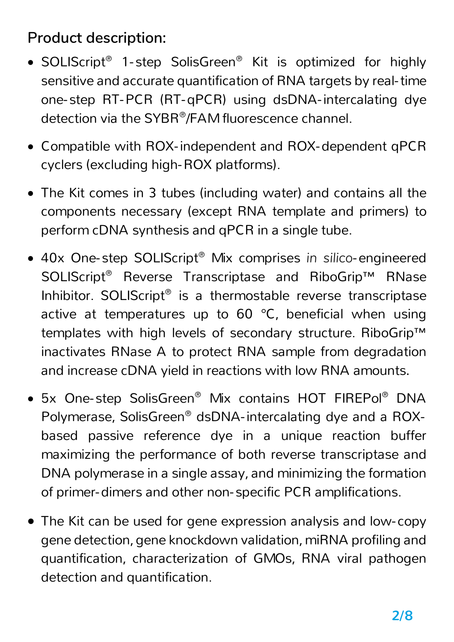### **Product description:**

- SOLIScript<sup>®</sup> 1-step SolisGreen<sup>®</sup> Kit is optimized for highly sensitive and accurate quantification of RNA targets by real-time one- step RT-PCR (RT-qPCR) using dsDNA-intercalating dye detection via the SYBR®/FAM fluorescence channel.
- Compatible with ROX-independent and ROX-dependent qPCR cyclers (excluding high-ROX platforms).
- The Kit comes in 3 tubes (including water) and contains all the components necessary (except RNA template and primers) to perform cDNA synthesis and qPCR in a single tube.
- 40x One- step SOLIScript® Mix comprises *in silico*-engineered SOLIScript<sup>®</sup> Reverse Transcriptase and RiboGrip<sup>™</sup> RNase Inhibitor. SOLIScript® is a thermostable reverse transcriptase active at temperatures up to 60 °C, beneficial when using templates with high levels of secondary structure. RiboGrip™ inactivates RNase A to protect RNA sample from degradation and increase cDNA yield in reactions with low RNA amounts.
- 5x One- step SolisGreen® Mix contains HOT FIREPol® DNA Polymerase, SolisGreen® dsDNA-intercalating dye and a ROXbased passive reference dye in a unique reaction buffer maximizing the performance of both reverse transcriptase and DNA polymerase in a single assay, and minimizing the formation of primer-dimers and other non- specific PCR amplifications.
- The Kit can be used for gene expression analysis and low- copy gene detection, gene knockdown validation, miRNA profiling and quantification, characterization of GMOs, RNA viral pathogen detection and quantification.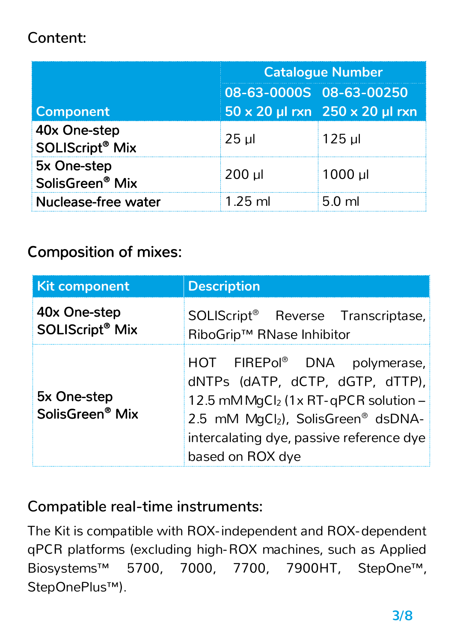#### **Content:**

|                                                   | <b>Catalogue Number</b> |                                |  |
|---------------------------------------------------|-------------------------|--------------------------------|--|
|                                                   | 08-63-0000S 08-63-00250 |                                |  |
| Component                                         |                         | 50 x 20 µl rxn 250 x 20 µl rxn |  |
| 40x One-step<br><b>SOLIScript<sup>®</sup> Mix</b> | $25$ $\mu$              | $125$ µl                       |  |
| 5x One-step<br>SolisGreen <sup>®</sup> Mix        | $200$ µl                | $1000$ µl                      |  |
| <b>Nuclease-free water</b>                        | $1.25$ ml               | $5.0$ ml                       |  |

#### Composition of mixes:

| <b>Kit component</b>                              | <b>Description</b>                                                                                                                                                                                                                   |  |
|---------------------------------------------------|--------------------------------------------------------------------------------------------------------------------------------------------------------------------------------------------------------------------------------------|--|
| 40x One-step<br><b>SOLIScript<sup>®</sup> Mix</b> | SOLIScript <sup>®</sup> Reverse Transcriptase,<br>RiboGrip™ RNase Inhibitor                                                                                                                                                          |  |
| 5x One-step<br>SolisGreen <sup>®</sup> Mix        | HOT FIREPol <sup>®</sup> DNA polymerase,<br>dNTPs (dATP, dCTP, dGTP, dTTP),<br>12.5 mM MgCl <sub>2</sub> (1x RT-qPCR solution -<br>2.5 mM MgCl2), SolisGreen® dsDNA-<br>intercalating dye, passive reference dye<br>based on ROX dye |  |

#### **Compatible real-time instruments:**

The Kit is compatible with ROX-independent and ROX-dependent qPCR platforms (excluding high-ROX machines, such as Applied Biosystems™ 5700, 7000, 7700, 7900HT, StepOne™, StepOnePlus™).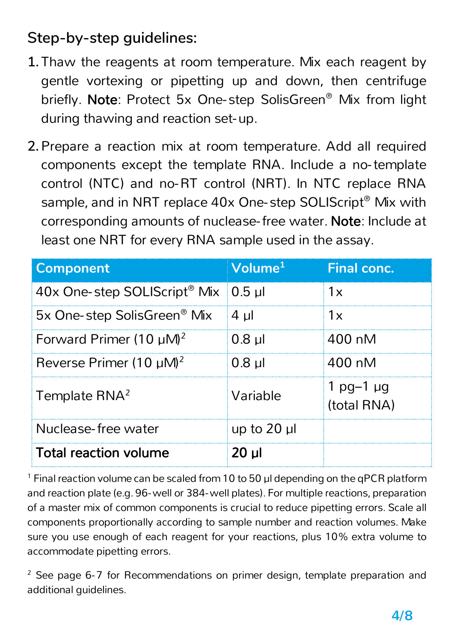#### **Step-by-step guidelines:**

- **1.** Thaw the reagents at room temperature. Mix each reagent by gentle vortexing or pipetting up and down, then centrifuge briefly. Note: Protect 5x One- step SolisGreen® Mix from light during thawing and reaction set-up.
- **2.** Prepare a reaction mix at room temperature. Add all required components except the template RNA. Include a no-template control (NTC) and no-RT control (NRT). In NTC replace RNA sample, and in NRT replace 40x One-step SOLIScript<sup>®</sup> Mix with corresponding amounts of nuclease-free water. Note: Include at least one NRT for every RNA sample used in the assay.

| <b>Component</b>                         | Volume <sup>1</sup> | <b>Final conc.</b>              |
|------------------------------------------|---------------------|---------------------------------|
| 40x One-step SOLIScript <sup>®</sup> Mix | $0.5$ µl            | 1x                              |
| 5x One-step SolisGreen® Mix              | $4 \mu$             | 1x                              |
| Forward Primer $(10 \mu M)^2$            | $0.8$ µl            | 400 nM                          |
| Reverse Primer (10 $\mu$ M) <sup>2</sup> | $0.8$ µl            | 400 nM                          |
| Template RNA <sup>2</sup>                | Variable            | $1$ pg-1 $\mu$ g<br>(total RNA) |
| Nuclease-free water                      | up to $20$ $\mu$    |                                 |
| <b>Total reaction volume</b>             | $20$ $\mu$          |                                 |

 $1$  Final reaction volume can be scaled from 10 to 50  $\mu$ l depending on the qPCR platform and reaction plate (e.g. 96-well or 384-well plates). For multiple reactions, preparation of a master mix of common components is crucial to reduce pipetting errors. Scale all components proportionally according to sample number and reaction volumes. Make sure you use enough of each reagent for your reactions, plus 10% extra volume to accommodate pipetting errors.

<sup>2</sup> See page 6-7 for Recommendations on primer design, template preparation and additional guidelines.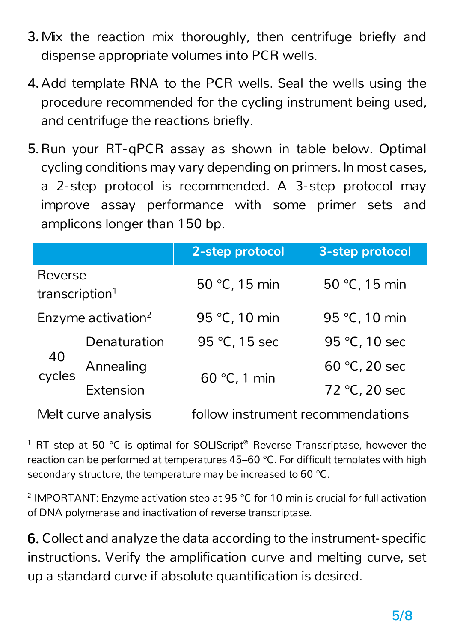- **3.**Mix the reaction mix thoroughly, then centrifuge briefly and dispense appropriate volumes into PCR wells.
- **4.**Add template RNA to the PCR wells. Seal the wells using the procedure recommended for the cycling instrument being used, and centrifuge the reactions briefly.
- **5.**Run your RT-qPCR assay as shown in table below. Optimal cycling conditions may vary depending on primers. In most cases, a 2- step protocol is recommended. A 3-step protocol may improve assay performance with some primer sets and amplicons longer than 150 bp.

|                                       |                  | 2-step protocol                   | 3-step protocol |
|---------------------------------------|------------------|-----------------------------------|-----------------|
| Reverse<br>transcription <sup>1</sup> |                  | 50 °C, 15 min                     | 50 °C, 15 min   |
| Enzyme activation <sup>2</sup>        |                  | 95 °C, 10 min                     | 95 °C, 10 min   |
| 40<br>cycles                          | Denaturation     | 95 °C, 15 sec                     | 95 °C, 10 sec   |
|                                       | Annealing        | $60 °C$ , 1 min                   | 60 °C, 20 sec   |
|                                       | <b>Extension</b> |                                   | 72 °C, 20 sec   |
| Melt curve analysis                   |                  | follow instrument recommendations |                 |

<sup>1</sup> RT step at 50 °C is optimal for SOLIScript<sup>®</sup> Reverse Transcriptase, however the reaction can be performed at temperatures 45–60 °C. For difficult templates with high secondary structure, the temperature may be increased to 60 °C.

<sup>2</sup> IMPORTANT: Enzyme activation step at 95 °C for 10 min is crucial for full activation of DNA polymerase and inactivation of reverse transcriptase.

6. Collect and analyze the data according to the instrument- specific instructions. Verify the amplification curve and melting curve, set up a standard curve if absolute quantification is desired.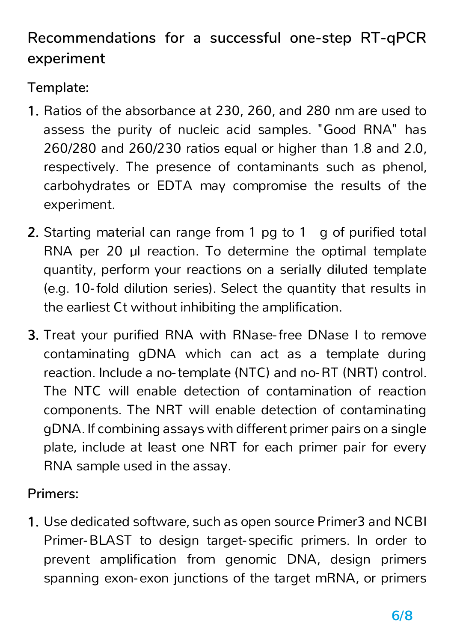## **Recommendations for a successful one-step RT-qPCR experiment**

**Template:**

- 1. Ratios of the absorbance at 230, 260, and 280 nm are used to assess the purity of nucleic acid samples. "Good RNA" has 260/280 and 260/230 ratios equal or higher than 1.8 and 2.0, respectively. The presence of contaminants such as phenol, carbohydrates or EDTA may compromise the results of the experiment.
- 2. Starting material can range from 1 pg to 1 g of purified total RNA per 20 µl reaction. To determine the optimal template quantity, perform your reactions on a serially diluted template (e.g. 10-fold dilution series). Select the quantity that results in the earliest Ct without inhibiting the amplification.
- 3. Treat your purified RNA with RNase-free DNase I to remove contaminating gDNA which can act as a template during reaction. Include a no-template (NTC) and no-RT (NRT) control. The NTC will enable detection of contamination of reaction components. The NRT will enable detection of contaminating gDNA. If combining assays with different primer pairs on a single plate, include at least one NRT for each primer pair for every RNA sample used in the assay.

**Primers:**

1. Use dedicated software, such as open source Primer3 and NCBI Primer-BLAST to design target- specific primers. In order to prevent amplification from genomic DNA, design primers spanning exon-exon junctions of the target mRNA, or primers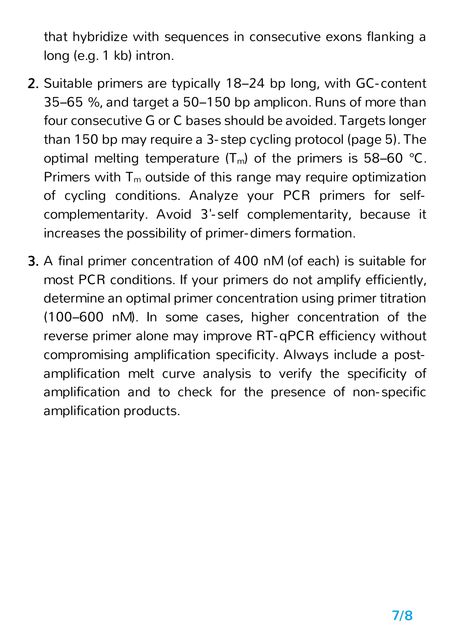that hybridize with sequences in consecutive exons flanking a long (e.g. 1 kb) intron.

- 2. Suitable primers are typically 18–24 bp long, with GC- content 35–65 %, and target a 50–150 bp amplicon. Runs of more than four consecutive G or C bases should be avoided. Targets longer than 150 bp may require a 3- step cycling protocol (page 5). The optimal melting temperature  $(T_m)$  of the primers is 58–60 °C. Primers with  $T_m$  outside of this range may require optimization of cycling conditions. Analyze your PCR primers for selfcomplementarity. Avoid 3'- self complementarity, because it increases the possibility of primer-dimers formation.
- 3. A final primer concentration of 400 nM (of each) is suitable for most PCR conditions. If your primers do not amplify efficiently, determine an optimal primer concentration using primer titration (100–600 nM). In some cases, higher concentration of the reverse primer alone may improve RT-qPCR efficiency without compromising amplification specificity. Always include a postamplification melt curve analysis to verify the specificity of amplification and to check for the presence of non- specific amplification products.